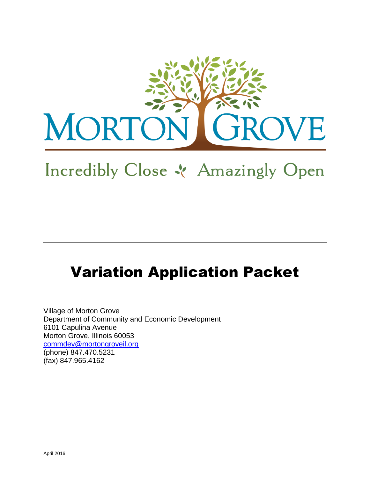

# Incredibly Close & Amazingly Open

## Variation Application Packet

Village of Morton Grove Department of Community and Economic Development 6101 Capulina Avenue Morton Grove, Illinois 60053 [commdev@mortongroveil.org](mailto:commdev@mortongroveil.org) (phone) 847.470.5231 (fax) 847.965.4162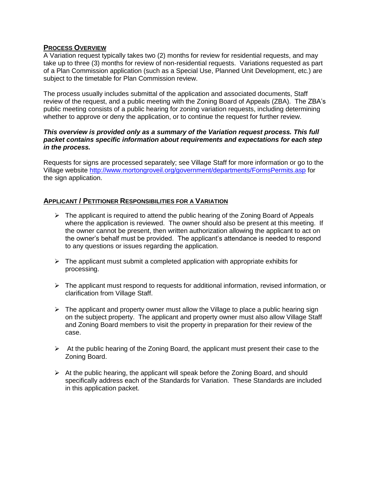#### **PROCESS OVERVIEW**

A Variation request typically takes two (2) months for review for residential requests, and may take up to three (3) months for review of non-residential requests. Variations requested as part of a Plan Commission application (such as a Special Use, Planned Unit Development, etc.) are subject to the timetable for Plan Commission review.

The process usually includes submittal of the application and associated documents, Staff review of the request, and a public meeting with the Zoning Board of Appeals (ZBA). The ZBA's public meeting consists of a public hearing for zoning variation requests, including determining whether to approve or deny the application, or to continue the request for further review.

#### *This overview is provided only as a summary of the Variation request process. This full packet contains specific information about requirements and expectations for each step in the process.*

Requests for signs are processed separately; see Village Staff for more information or go to the Village website<http://www.mortongroveil.org/government/departments/FormsPermits.asp> for the sign application.

#### **APPLICANT / PETITIONER RESPONSIBILITIES FOR A VARIATION**

- $\triangleright$  The applicant is required to attend the public hearing of the Zoning Board of Appeals where the application is reviewed. The owner should also be present at this meeting. If the owner cannot be present, then written authorization allowing the applicant to act on the owner's behalf must be provided. The applicant's attendance is needed to respond to any questions or issues regarding the application.
- $\triangleright$  The applicant must submit a completed application with appropriate exhibits for processing.
- $\triangleright$  The applicant must respond to requests for additional information, revised information, or clarification from Village Staff.
- $\triangleright$  The applicant and property owner must allow the Village to place a public hearing sign on the subject property. The applicant and property owner must also allow Village Staff and Zoning Board members to visit the property in preparation for their review of the case.
- $\triangleright$  At the public hearing of the Zoning Board, the applicant must present their case to the Zoning Board.
- $\triangleright$  At the public hearing, the applicant will speak before the Zoning Board, and should specifically address each of the Standards for Variation. These Standards are included in this application packet.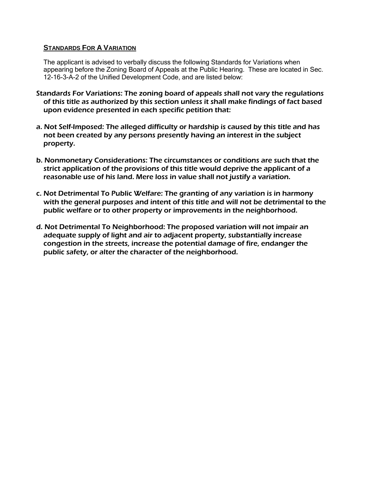#### **STANDARDS FOR A VARIATION**

The applicant is advised to verbally discuss the following Standards for Variations when appearing before the Zoning Board of Appeals at the Public Hearing. These are located in Sec. 12-16-3-A-2 of the Unified Development Code, and are listed below:

- Standards For Variations: The zoning board of appeals shall not vary the regulations of this title as authorized by this section unless it shall make findings of fact based upon evidence presented in each specific petition that:
- a. Not Self-Imposed: The alleged difficulty or hardship is caused by this title and has not been created by any persons presently having an interest in the subject property.
- b. Nonmonetary Considerations: The circumstances or conditions are such that the strict application of the provisions of this title would deprive the applicant of a reasonable use of his land. Mere loss in value shall not justify a variation.
- c. Not Detrimental To Public Welfare: The granting of any variation is in harmony with the general purposes and intent of this title and will not be detrimental to the public welfare or to other property or improvements in the neighborhood.
- d. Not Detrimental To Neighborhood: The proposed variation will not impair an adequate supply of light and air to adjacent property, substantially increase congestion in the streets, increase the potential damage of fire, endanger the public safety, or alter the character of the neighborhood.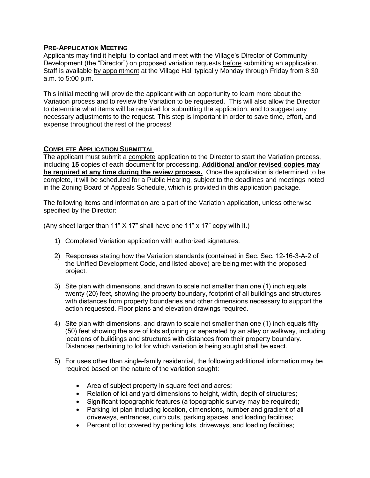#### **PRE-APPLICATION MEETING**

Applicants may find it helpful to contact and meet with the Village's Director of Community Development (the "Director") on proposed variation requests before submitting an application. Staff is available by appointment at the Village Hall typically Monday through Friday from 8:30 a.m. to 5:00 p.m.

This initial meeting will provide the applicant with an opportunity to learn more about the Variation process and to review the Variation to be requested. This will also allow the Director to determine what items will be required for submitting the application, and to suggest any necessary adjustments to the request. This step is important in order to save time, effort, and expense throughout the rest of the process!

#### **COMPLETE APPLICATION SUBMITTAL**

The applicant must submit a complete application to the Director to start the Variation process, including **15** copies of each document for processing. **Additional and/or revised copies may be required at any time during the review process.** Once the application is determined to be complete, it will be scheduled for a Public Hearing, subject to the deadlines and meetings noted in the Zoning Board of Appeals Schedule, which is provided in this application package.

The following items and information are a part of the Variation application, unless otherwise specified by the Director:

(Any sheet larger than 11" X 17" shall have one 11" x 17" copy with it.)

- 1) Completed Variation application with authorized signatures.
- 2) Responses stating how the Variation standards (contained in Sec. Sec. 12-16-3-A-2 of the Unified Development Code, and listed above) are being met with the proposed project.
- 3) Site plan with dimensions, and drawn to scale not smaller than one (1) inch equals twenty (20) feet, showing the property boundary, footprint of all buildings and structures with distances from property boundaries and other dimensions necessary to support the action requested. Floor plans and elevation drawings required.
- 4) Site plan with dimensions, and drawn to scale not smaller than one (1) inch equals fifty (50) feet showing the size of lots adjoining or separated by an alley or walkway, including locations of buildings and structures with distances from their property boundary. Distances pertaining to lot for which variation is being sought shall be exact.
- 5) For uses other than single-family residential, the following additional information may be required based on the nature of the variation sought:
	- Area of subject property in square feet and acres;
	- Relation of lot and yard dimensions to height, width, depth of structures;
	- Significant topographic features (a topographic survey may be required);
	- Parking lot plan including location, dimensions, number and gradient of all driveways, entrances, curb cuts, parking spaces, and loading facilities;
	- Percent of lot covered by parking lots, driveways, and loading facilities;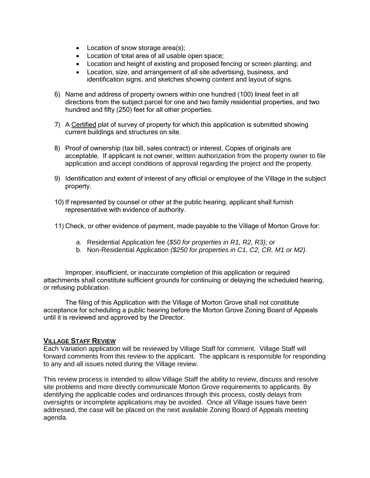- Location of snow storage area(s);
- Location of total area of all usable open space;
- Location and height of existing and proposed fencing or screen planting; and
- Location, size, and arrangement of all site advertising, business, and identification signs, and sketches showing content and layout of signs.
- 6) Name and address of property owners within one hundred (100) lineal feet in all directions from the subject parcel for one and two family residential properties, and two hundred and fifty (250) feet for all other properties.
- 7) A Certified plat of survey of property for which this application is submitted showing current buildings and structures on site.
- 8) Proof of ownership (tax bill, sales contract) or interest. Copies of originals are acceptable. If applicant is not owner, written authorization from the property owner to file application and accept conditions of approval regarding the project and the property.
- 9) Identification and extent of interest of any official or employee of the Village in the subject property.
- 10) If represented by counsel or other at the public hearing, applicant shall furnish representative with evidence of authority.
- 11) Check, or other evidence of payment, made payable to the Village of Morton Grove for:
	- a. Residential Application fee (*\$50 for properties in R1, R2, R3); or*
	- b. Non-Residential Application *(\$250 for properties in C1, C2, CR, M1 or M2)*.

Improper, insufficient, or inaccurate completion of this application or required attachments shall constitute sufficient grounds for continuing or delaying the scheduled hearing, or refusing publication.

The filing of this Application with the Village of Morton Grove shall not constitute acceptance for scheduling a public hearing before the Morton Grove Zoning Board of Appeals until it is reviewed and approved by the Director.

#### **VILLAGE STAFF REVIEW**

Each Variation application will be reviewed by Village Staff for comment. Village Staff will forward comments from this review to the applicant. The applicant is responsible for responding to any and all issues noted during the Village review.

This review process is intended to allow Village Staff the ability to review, discuss and resolve site problems and more directly communicate Morton Grove requirements to applicants. By identifying the applicable codes and ordinances through this process, costly delays from oversights or incomplete applications may be avoided. Once all Village issues have been addressed, the case will be placed on the next available Zoning Board of Appeals meeting agenda.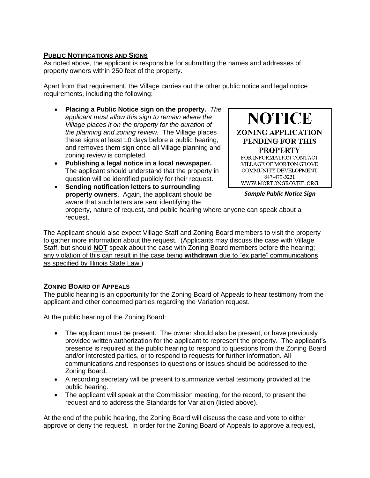#### **PUBLIC NOTIFICATIONS AND SIGNS**

As noted above, the applicant is responsible for submitting the names and addresses of property owners within 250 feet of the property.

Apart from that requirement, the Village carries out the other public notice and legal notice requirements, including the following:

- **Placing a Public Notice sign on the property.** *The applicant must allow this sign to remain where the Village places it on the property for the duration of the planning and zoning review.* The Village places these signs at least 10 days before a public hearing, and removes them sign once all Village planning and zoning review is completed.
- **Publishing a legal notice in a local newspaper.** The applicant should understand that the property in question will be identified publicly for their request.

**NOTICE ZONING APPLICATION** PENDING FOR THIS **PROPERTY** FOR INFORMATION CONTACT VILLAGE OF MORTON GROVE COMMUNITY DEVELOPMENT 847-470-5231 WWW.MORTONGROVEIL.ORG

 **Sending notification letters to surrounding property owners**. Again, the applicant should be aware that such letters are sent identifying the property, nature of request, and public hearing where anyone can speak about a request.

The Applicant should also expect Village Staff and Zoning Board members to visit the property to gather more information about the request. (Applicants may discuss the case with Village Staff, but should **NOT** speak about the case with Zoning Board members before the hearing; any violation of this can result in the case being **withdrawn** due to "ex parte" communications as specified by Illinois State Law.)

#### **ZONING BOARD OF APPEALS**

The public hearing is an opportunity for the Zoning Board of Appeals to hear testimony from the applicant and other concerned parties regarding the Variation request.

At the public hearing of the Zoning Board:

- The applicant must be present. The owner should also be present, or have previously provided written authorization for the applicant to represent the property. The applicant's presence is required at the public hearing to respond to questions from the Zoning Board and/or interested parties, or to respond to requests for further information. All communications and responses to questions or issues should be addressed to the Zoning Board.
- A recording secretary will be present to summarize verbal testimony provided at the public hearing.
- The applicant will speak at the Commission meeting, for the record, to present the request and to address the Standards for Variation (listed above).

At the end of the public hearing, the Zoning Board will discuss the case and vote to either approve or deny the request. In order for the Zoning Board of Appeals to approve a request,

*Sample Public Notice Sign*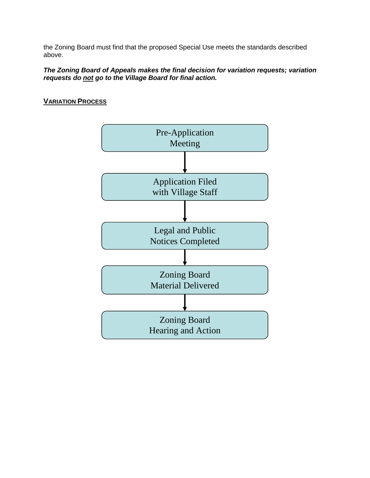the Zoning Board must find that the proposed Special Use meets the standards described above.

#### *The Zoning Board of Appeals makes the final decision for variation requests; variation requests do not go to the Village Board for final action.*

#### **VARIATION PROCESS**

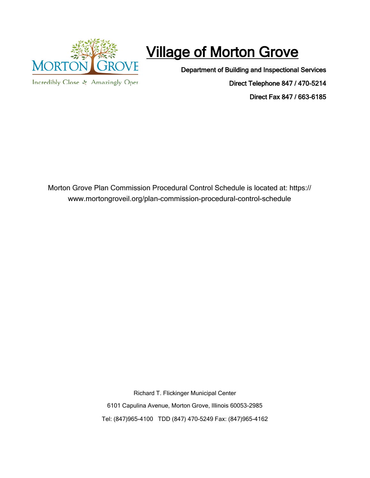

## Village of Morton Grove

Department of Building and Inspectional Services

Incredibly Close & Amazingly Oper

Direct Telephone 847 / 470-5214 Direct Fax 847 / 663-6185

Morton Grove Plan Commission Procedural Control Schedule is located at: https:// www.mortongroveil.org/plan-commission-procedural-control-schedule

> Richard T. Flickinger Municipal Center 6101 Capulina Avenue, Morton Grove, Illinois 60053-2985 Tel: (847)965-4100 TDD (847) 470-5249 Fax: (847)965-4162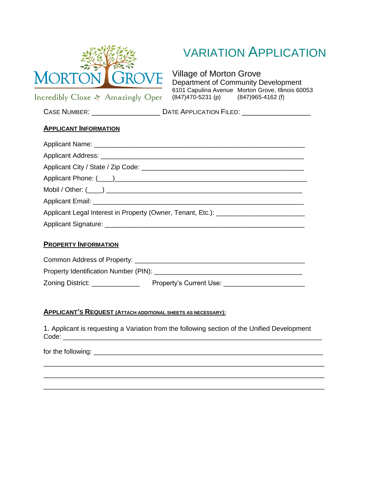

### VARIATION APPLICATION

Village of Morton Grove Department of Community Development 6101 Capulina Avenue Morton Grove, Illinois 60053  $(847)470-5231$  (p)  $(847)965-4162$  (f)

Incredibly Close & Amazingly Oper

**APPLICANT INFORMATION**

CASE NUMBER: \_\_\_\_\_\_\_\_\_\_\_\_\_\_\_\_\_\_\_\_\_\_\_\_\_\_\_ DATE APPLICATION FILED: \_\_\_\_\_\_\_\_\_\_\_\_\_\_\_

| Applicant Legal Interest in Property (Owner, Tenant, Etc.): _____________________ |
|-----------------------------------------------------------------------------------|
|                                                                                   |
|                                                                                   |
| <b>PROPERTY INFORMATION</b>                                                       |

| Common Address of Property:           |                         |
|---------------------------------------|-------------------------|
| Property Identification Number (PIN): |                         |
| Zoning District:                      | Property's Current Use: |

#### **APPLICANT'S REQUEST (ATTACH ADDITIONAL SHEETS AS NECESSARY):**

1. Applicant is requesting a Variation from the following section of the Unified Development Code: \_\_\_\_\_\_\_\_\_\_\_\_\_\_\_\_\_\_\_\_\_\_\_\_\_\_\_\_\_\_\_\_\_\_\_\_\_\_\_\_\_\_\_\_\_\_\_\_\_\_\_\_\_\_\_\_\_\_\_\_\_\_\_\_\_\_\_\_\_\_

\_\_\_\_\_\_\_\_\_\_\_\_\_\_\_\_\_\_\_\_\_\_\_\_\_\_\_\_\_\_\_\_\_\_\_\_\_\_\_\_\_\_\_\_\_\_\_\_\_\_\_\_\_\_\_\_\_\_\_\_\_\_\_\_\_\_\_\_\_\_\_\_\_\_\_\_ \_\_\_\_\_\_\_\_\_\_\_\_\_\_\_\_\_\_\_\_\_\_\_\_\_\_\_\_\_\_\_\_\_\_\_\_\_\_\_\_\_\_\_\_\_\_\_\_\_\_\_\_\_\_\_\_\_\_\_\_\_\_\_\_\_\_\_\_\_\_\_\_\_\_\_\_ \_\_\_\_\_\_\_\_\_\_\_\_\_\_\_\_\_\_\_\_\_\_\_\_\_\_\_\_\_\_\_\_\_\_\_\_\_\_\_\_\_\_\_\_\_\_\_\_\_\_\_\_\_\_\_\_\_\_\_\_\_\_\_\_\_\_\_\_\_\_\_\_\_\_\_\_

for the following: \_\_\_\_\_\_\_\_\_\_\_\_\_\_\_\_\_\_\_\_\_\_\_\_\_\_\_\_\_\_\_\_\_\_\_\_\_\_\_\_\_\_\_\_\_\_\_\_\_\_\_\_\_\_\_\_\_\_\_\_\_\_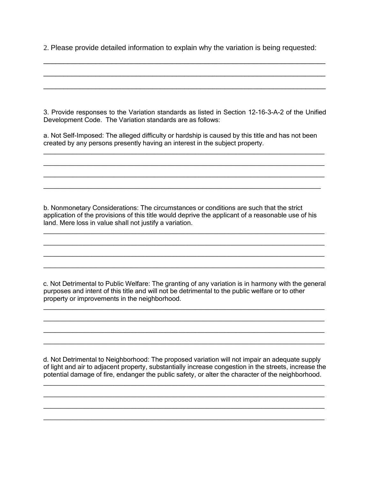2. Please provide detailed information to explain why the variation is being requested:

\_\_\_\_\_\_\_\_\_\_\_\_\_\_\_\_\_\_\_\_\_\_\_\_\_\_\_\_\_\_\_\_\_\_\_\_\_\_\_\_\_\_\_\_\_\_\_\_\_\_\_\_\_\_\_\_\_\_\_\_\_\_\_\_\_\_\_\_\_\_

\_\_\_\_\_\_\_\_\_\_\_\_\_\_\_\_\_\_\_\_\_\_\_\_\_\_\_\_\_\_\_\_\_\_\_\_\_\_\_\_\_\_\_\_\_\_\_\_\_\_\_\_\_\_\_\_\_\_\_\_\_\_\_\_\_\_\_\_\_\_

\_\_\_\_\_\_\_\_\_\_\_\_\_\_\_\_\_\_\_\_\_\_\_\_\_\_\_\_\_\_\_\_\_\_\_\_\_\_\_\_\_\_\_\_\_\_\_\_\_\_\_\_\_\_\_\_\_\_\_\_\_\_\_\_\_\_\_\_\_\_

3. Provide responses to the Variation standards as listed in Section 12-16-3-A-2 of the Unified Development Code. The Variation standards are as follows:

a. Not Self-Imposed: The alleged difficulty or hardship is caused by this title and has not been created by any persons presently having an interest in the subject property.

\_\_\_\_\_\_\_\_\_\_\_\_\_\_\_\_\_\_\_\_\_\_\_\_\_\_\_\_\_\_\_\_\_\_\_\_\_\_\_\_\_\_\_\_\_\_\_\_\_\_\_\_\_\_\_\_\_\_\_\_\_\_\_\_\_\_\_\_\_\_\_\_\_\_\_\_ \_\_\_\_\_\_\_\_\_\_\_\_\_\_\_\_\_\_\_\_\_\_\_\_\_\_\_\_\_\_\_\_\_\_\_\_\_\_\_\_\_\_\_\_\_\_\_\_\_\_\_\_\_\_\_\_\_\_\_\_\_\_\_\_\_\_\_\_\_\_\_\_\_\_\_\_ \_\_\_\_\_\_\_\_\_\_\_\_\_\_\_\_\_\_\_\_\_\_\_\_\_\_\_\_\_\_\_\_\_\_\_\_\_\_\_\_\_\_\_\_\_\_\_\_\_\_\_\_\_\_\_\_\_\_\_\_\_\_\_\_\_\_\_\_\_\_\_\_\_\_\_\_ \_\_\_\_\_\_\_\_\_\_\_\_\_\_\_\_\_\_\_\_\_\_\_\_\_\_\_\_\_\_\_\_\_\_\_\_\_\_\_\_\_\_\_\_\_\_\_\_\_\_\_\_\_\_\_\_\_\_\_\_\_\_\_\_\_\_\_\_\_\_\_\_\_\_\_

b. Nonmonetary Considerations: The circumstances or conditions are such that the strict application of the provisions of this title would deprive the applicant of a reasonable use of his land. Mere loss in value shall not justify a variation.

\_\_\_\_\_\_\_\_\_\_\_\_\_\_\_\_\_\_\_\_\_\_\_\_\_\_\_\_\_\_\_\_\_\_\_\_\_\_\_\_\_\_\_\_\_\_\_\_\_\_\_\_\_\_\_\_\_\_\_\_\_\_\_\_\_\_\_\_\_\_\_\_\_\_\_\_ \_\_\_\_\_\_\_\_\_\_\_\_\_\_\_\_\_\_\_\_\_\_\_\_\_\_\_\_\_\_\_\_\_\_\_\_\_\_\_\_\_\_\_\_\_\_\_\_\_\_\_\_\_\_\_\_\_\_\_\_\_\_\_\_\_\_\_\_\_\_\_\_\_\_\_\_ \_\_\_\_\_\_\_\_\_\_\_\_\_\_\_\_\_\_\_\_\_\_\_\_\_\_\_\_\_\_\_\_\_\_\_\_\_\_\_\_\_\_\_\_\_\_\_\_\_\_\_\_\_\_\_\_\_\_\_\_\_\_\_\_\_\_\_\_\_\_\_\_\_\_\_\_ \_\_\_\_\_\_\_\_\_\_\_\_\_\_\_\_\_\_\_\_\_\_\_\_\_\_\_\_\_\_\_\_\_\_\_\_\_\_\_\_\_\_\_\_\_\_\_\_\_\_\_\_\_\_\_\_\_\_\_\_\_\_\_\_\_\_\_\_\_\_\_\_\_\_\_\_

 c. Not Detrimental to Public Welfare: The granting of any variation is in harmony with the general purposes and intent of this title and will not be detrimental to the public welfare or to other property or improvements in the neighborhood.

\_\_\_\_\_\_\_\_\_\_\_\_\_\_\_\_\_\_\_\_\_\_\_\_\_\_\_\_\_\_\_\_\_\_\_\_\_\_\_\_\_\_\_\_\_\_\_\_\_\_\_\_\_\_\_\_\_\_\_\_\_\_\_\_\_\_\_\_\_\_\_\_\_\_\_\_ \_\_\_\_\_\_\_\_\_\_\_\_\_\_\_\_\_\_\_\_\_\_\_\_\_\_\_\_\_\_\_\_\_\_\_\_\_\_\_\_\_\_\_\_\_\_\_\_\_\_\_\_\_\_\_\_\_\_\_\_\_\_\_\_\_\_\_\_\_\_\_\_\_\_\_\_ \_\_\_\_\_\_\_\_\_\_\_\_\_\_\_\_\_\_\_\_\_\_\_\_\_\_\_\_\_\_\_\_\_\_\_\_\_\_\_\_\_\_\_\_\_\_\_\_\_\_\_\_\_\_\_\_\_\_\_\_\_\_\_\_\_\_\_\_\_\_\_\_\_\_\_\_ \_\_\_\_\_\_\_\_\_\_\_\_\_\_\_\_\_\_\_\_\_\_\_\_\_\_\_\_\_\_\_\_\_\_\_\_\_\_\_\_\_\_\_\_\_\_\_\_\_\_\_\_\_\_\_\_\_\_\_\_\_\_\_\_\_\_\_\_\_\_\_\_\_\_\_\_

 d. Not Detrimental to Neighborhood: The proposed variation will not impair an adequate supply of light and air to adjacent property, substantially increase congestion in the streets, increase the potential damage of fire, endanger the public safety, or alter the character of the neighborhood.

\_\_\_\_\_\_\_\_\_\_\_\_\_\_\_\_\_\_\_\_\_\_\_\_\_\_\_\_\_\_\_\_\_\_\_\_\_\_\_\_\_\_\_\_\_\_\_\_\_\_\_\_\_\_\_\_\_\_\_\_\_\_\_\_\_\_\_\_\_\_\_\_\_\_\_\_ \_\_\_\_\_\_\_\_\_\_\_\_\_\_\_\_\_\_\_\_\_\_\_\_\_\_\_\_\_\_\_\_\_\_\_\_\_\_\_\_\_\_\_\_\_\_\_\_\_\_\_\_\_\_\_\_\_\_\_\_\_\_\_\_\_\_\_\_\_\_\_\_\_\_\_\_ \_\_\_\_\_\_\_\_\_\_\_\_\_\_\_\_\_\_\_\_\_\_\_\_\_\_\_\_\_\_\_\_\_\_\_\_\_\_\_\_\_\_\_\_\_\_\_\_\_\_\_\_\_\_\_\_\_\_\_\_\_\_\_\_\_\_\_\_\_\_\_\_\_\_\_\_ \_\_\_\_\_\_\_\_\_\_\_\_\_\_\_\_\_\_\_\_\_\_\_\_\_\_\_\_\_\_\_\_\_\_\_\_\_\_\_\_\_\_\_\_\_\_\_\_\_\_\_\_\_\_\_\_\_\_\_\_\_\_\_\_\_\_\_\_\_\_\_\_\_\_\_\_